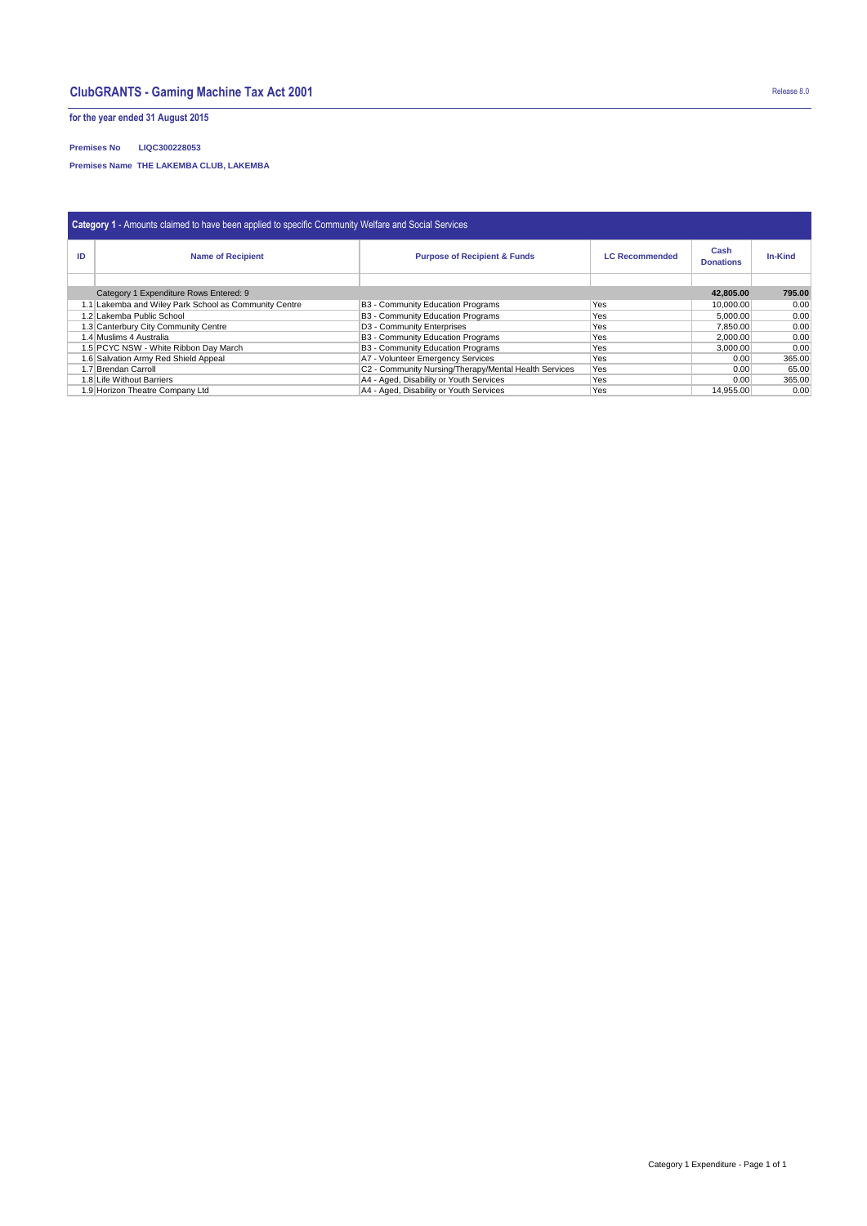## **ClubGRANTS - Gaming Machine Tax Act 2001** Release 8.0

**for the year ended 31 August 2015**

## **Premises No LIQC300228053**

**Premises Name THE LAKEMBA CLUB, LAKEMBA** 

| <b>Category 1 - Amounts claimed to have been applied to specific Community Welfare and Social Services</b> |                                                       |                                                       |                       |                          |                |  |  |  |  |  |  |
|------------------------------------------------------------------------------------------------------------|-------------------------------------------------------|-------------------------------------------------------|-----------------------|--------------------------|----------------|--|--|--|--|--|--|
| ID                                                                                                         | <b>Name of Recipient</b>                              | <b>Purpose of Recipient &amp; Funds</b>               | <b>LC Recommended</b> | Cash<br><b>Donations</b> | <b>In-Kind</b> |  |  |  |  |  |  |
|                                                                                                            |                                                       |                                                       |                       |                          |                |  |  |  |  |  |  |
|                                                                                                            | 42.805.00                                             | 795.00                                                |                       |                          |                |  |  |  |  |  |  |
|                                                                                                            | 1.1 Lakemba and Wiley Park School as Community Centre | B3 - Community Education Programs                     | Yes                   | 10,000.00                | 0.00           |  |  |  |  |  |  |
|                                                                                                            | 1.2 Lakemba Public School                             | B3 - Community Education Programs                     | Yes                   | 5.000.00                 | 0.00           |  |  |  |  |  |  |
|                                                                                                            | 1.3 Canterbury City Community Centre                  | D3 - Community Enterprises                            | Yes                   | 7,850.00                 | 0.00           |  |  |  |  |  |  |
| 1.4 Muslims 4 Australia                                                                                    |                                                       | B3 - Community Education Programs                     | Yes                   | 2,000.00                 | 0.00           |  |  |  |  |  |  |
| 1.5 PCYC NSW - White Ribbon Day March                                                                      |                                                       | B3 - Community Education Programs                     | Yes                   | 3,000.00                 | 0.00           |  |  |  |  |  |  |
| 1.6 Salvation Army Red Shield Appeal                                                                       |                                                       | A7 - Volunteer Emergency Services                     | Yes                   | 0.00                     | 365.00         |  |  |  |  |  |  |
| 1.7 Brendan Carroll                                                                                        |                                                       | C2 - Community Nursing/Therapy/Mental Health Services | Yes                   | 0.00                     | 65.00          |  |  |  |  |  |  |
|                                                                                                            | 1.8 Life Without Barriers                             | A4 - Aged, Disability or Youth Services               | Yes                   | 0.00                     | 365.00         |  |  |  |  |  |  |
|                                                                                                            | 1.9 Horizon Theatre Company Ltd                       | A4 - Aged, Disability or Youth Services               | Yes                   | 14.955.00                | 0.00           |  |  |  |  |  |  |